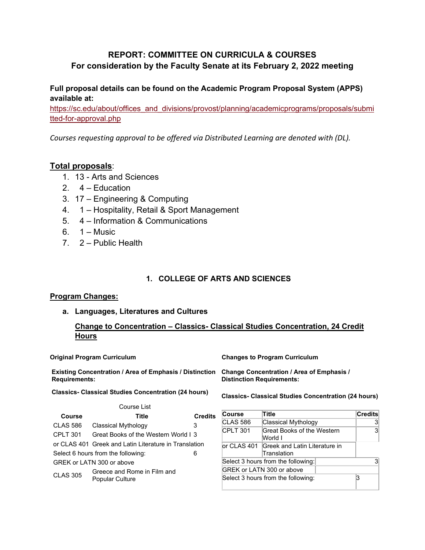# **REPORT: COMMITTEE ON CURRICULA & COURSES For consideration by the Faculty Senate at its February 2, 2022 meeting**

**Full proposal details can be found on the Academic Program Proposal System (APPS) available at:** 

[https://sc.edu/about/offices\\_and\\_divisions/provost/planning/academicprograms/proposals/submi](https://sc.edu/about/offices_and_divisions/provost/planning/academicprograms/proposals/submitted-for-approval.php) [tted-for-approval.php](https://sc.edu/about/offices_and_divisions/provost/planning/academicprograms/proposals/submitted-for-approval.php)

*Courses requesting approval to be offered via Distributed Learning are denoted with (DL).*

# **Total proposals**:

- 1. 13 Arts and Sciences
- 2.  $4 -$  Education
- 3. 17 Engineering & Computing
- 4. 1 Hospitality, Retail & Sport Management
- 5. 4 Information & Communications
- 6.  $1 -$  Music
- 7. 2 Public Health

# **1. COLLEGE OF ARTS AND SCIENCES**

## **Program Changes:**

**a. Languages, Literatures and Cultures**

# **Change to Concentration – Classics- Classical Studies Concentration, 24 Credit Hours**

**Existing Concentration / Area of Emphasis / Distinction Change Concentration / Area of Emphasis / Requirements:**

**Classics- Classical Studies Concentration (24 hours)**

**Original Program Curriculum Changes to Program Curriculum**

**Distinction Requirements:**

**Classics- Classical Studies Concentration (24 hours)**

|                 | Course List                                           |                |                 |                                       |                |
|-----------------|-------------------------------------------------------|----------------|-----------------|---------------------------------------|----------------|
| <b>Course</b>   | Title                                                 | <b>Credits</b> | <b>Course</b>   | Title                                 | <b>Credits</b> |
| <b>CLAS 586</b> | Classical Mythology                                   | 3              | <b>CLAS 586</b> | Classical Mythology                   | -3             |
| <b>CPLT 301</b> | Great Books of the Western World I 3                  |                | CPLT 301        | Great Books of the Western<br>World I | 3              |
|                 | or CLAS 401 Greek and Latin Literature in Translation |                | or CLAS 401     | Greek and Latin Literature in         |                |
|                 | Select 6 hours from the following:                    | 6              |                 | Translation                           |                |
|                 | GREK or LATN 300 or above                             |                |                 | Select 3 hours from the following:    | 3              |
|                 | Greece and Rome in Film and                           |                |                 | GREK or LATN 300 or above             |                |
| <b>CLAS 305</b> | <b>Popular Culture</b>                                |                |                 | Select 3 hours from the following:    |                |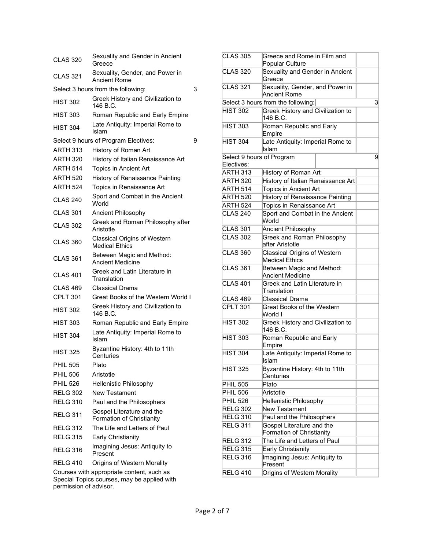| <b>CLAS 320</b> | Sexuality and Gender in Ancient<br>Greece                    |   |
|-----------------|--------------------------------------------------------------|---|
| CLAS 321        | Sexuality, Gender, and Power in<br><b>Ancient Rome</b>       |   |
|                 | Select 3 hours from the following:                           | 3 |
| <b>HIST 302</b> | Greek History and Civilization to<br>146 B.C.                |   |
| <b>HIST 303</b> | Roman Republic and Early Empire                              |   |
| <b>HIST 304</b> | Late Antiquity: Imperial Rome to<br>Islam                    |   |
|                 | Select 9 hours of Program Electives:                         | 9 |
| <b>ARTH 313</b> | History of Roman Art                                         |   |
| <b>ARTH 320</b> | History of Italian Renaissance Art                           |   |
| <b>ARTH 514</b> | Topics in Ancient Art                                        |   |
| <b>ARTH 520</b> | History of Renaissance Painting                              |   |
| <b>ARTH 524</b> | Topics in Renaissance Art                                    |   |
| <b>CLAS 240</b> | Sport and Combat in the Ancient<br>World                     |   |
| <b>CLAS 301</b> | Ancient Philosophy                                           |   |
| CLAS 302        | Greek and Roman Philosophy after<br>Aristotle                |   |
| CLAS 360        | <b>Classical Origins of Western</b><br><b>Medical Fthics</b> |   |
| CLAS 361        | Between Magic and Method:<br>Ancient Medicine                |   |
| CLAS 401        | Greek and Latin Literature in<br>Translation                 |   |
| CLAS 469        | Classical Drama                                              |   |
| <b>CPLT 301</b> | Great Books of the Western World I                           |   |
| <b>HIST 302</b> | Greek History and Civilization to<br>146 B.C.                |   |
| <b>HIST 303</b> | Roman Republic and Early Empire                              |   |
| <b>HIST 304</b> | Late Antiquity: Imperial Rome to<br>Islam                    |   |
| <b>HIST 325</b> | Byzantine History: 4th to 11th<br>Centuries                  |   |
| <b>PHIL 505</b> | Plato                                                        |   |
| <b>PHIL 506</b> | Aristotle                                                    |   |
| <b>PHIL 526</b> | Hellenistic Philosophy                                       |   |
| <b>RELG 302</b> | New Testament                                                |   |
| <b>RELG 310</b> | Paul and the Philosophers                                    |   |
| <b>RELG 311</b> | Gospel Literature and the<br>Formation of Christianity       |   |
| <b>RELG 312</b> | The Life and Letters of Paul                                 |   |
| <b>RELG 315</b> | <b>Early Christianity</b>                                    |   |
| <b>RELG 316</b> | Imagining Jesus: Antiquity to<br>Present                     |   |
| <b>RELG 410</b> | Origins of Western Morality                                  |   |
|                 | Courses with appropriate content, such as                    |   |

| Courses with appropriate content, such as   |  |  |
|---------------------------------------------|--|--|
| Special Topics courses, may be applied with |  |  |
| permission of advisor.                      |  |  |

| <b>CLAS 305</b> | Greece and Rome in Film and<br>Popular Culture         |   |  |  |
|-----------------|--------------------------------------------------------|---|--|--|
| <b>CLAS 320</b> | Sexuality and Gender in Ancient<br>Greece              |   |  |  |
| <b>CLAS 321</b> | Sexuality, Gender, and Power in<br><b>Ancient Rome</b> |   |  |  |
|                 | Select 3 hours from the following:                     | 3 |  |  |
| <b>HIST 302</b> | Greek History and Civilization to<br>146 B.C.          |   |  |  |
| <b>HIST 303</b> | Roman Republic and Early<br>Empire                     |   |  |  |
| <b>HIST 304</b> | Late Antiquity: Imperial Rome to<br>Islam              |   |  |  |
|                 | Select 9 hours of Program                              | 9 |  |  |
| Electives:      |                                                        |   |  |  |
| ARTH 313        | History of Roman Art                                   |   |  |  |
| <b>ARTH 320</b> | History of Italian Renaissance Art                     |   |  |  |
| ARTH 514        | <b>Topics in Ancient Art</b>                           |   |  |  |
| <b>ARTH 520</b> | <b>History of Renaissance Painting</b>                 |   |  |  |
| <b>ARTH 524</b> | Topics in Renaissance Art                              |   |  |  |
| <b>CLAS 240</b> | Sport and Combat in the Ancient<br>World               |   |  |  |
| <b>CLAS 301</b> | Ancient Philosophy                                     |   |  |  |
| <b>CLAS 302</b> | Greek and Roman Philosophy<br>after Aristotle          |   |  |  |
| <b>CLAS 360</b> | <b>Classical Origins of Western</b><br>Medical Ethics  |   |  |  |
| <b>CLAS 361</b> | Between Magic and Method:<br>Ancient Medicine          |   |  |  |
| <b>CLAS 401</b> | Greek and Latin Literature in<br>Translation           |   |  |  |
| <b>CLAS 469</b> | Classical Drama                                        |   |  |  |
| <b>CPLT 301</b> | Great Books of the Western<br>World I                  |   |  |  |
| <b>HIST 302</b> | Greek History and Civilization to<br>146 B.C.          |   |  |  |
| <b>HIST 303</b> | Roman Republic and Early<br>Empire                     |   |  |  |
| <b>HIST 304</b> | Late Antiquity: Imperial Rome to<br>Islam              |   |  |  |
| <b>HIST 325</b> | Byzantine History: 4th to 11th<br>Centuries            |   |  |  |
| <b>PHIL 505</b> | Plato                                                  |   |  |  |
| <b>PHIL 506</b> | Aristotle                                              |   |  |  |
| <b>PHIL 526</b> | <b>Hellenistic Philosophy</b>                          |   |  |  |
| <b>RELG 302</b> | <b>New Testament</b>                                   |   |  |  |
| <b>RELG 310</b> | Paul and the Philosophers                              |   |  |  |
| <b>RELG 311</b> | Gospel Literature and the                              |   |  |  |
|                 | Formation of Christianity                              |   |  |  |
| <b>RELG 312</b> | The Life and Letters of Paul                           |   |  |  |
| <b>RELG 315</b> | Early Christianity                                     |   |  |  |
| <b>RELG 316</b> | Imagining Jesus: Antiquity to<br>Present               |   |  |  |
| <b>RELG 410</b> | Origins of Western Morality                            |   |  |  |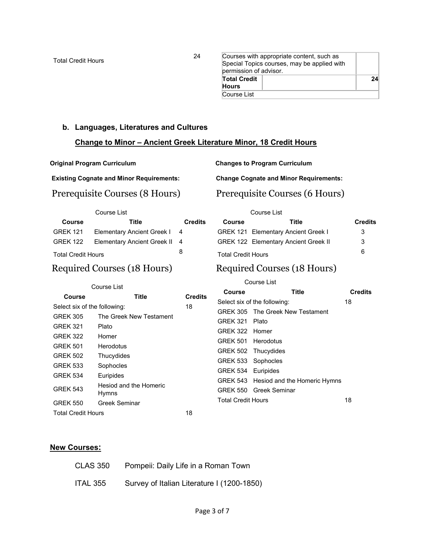Total Credit Hours 24

|                                             | Courses with appropriate content, such as |    |  |  |
|---------------------------------------------|-------------------------------------------|----|--|--|
| Special Topics courses, may be applied with |                                           |    |  |  |
| permission of advisor.                      |                                           |    |  |  |
| <b>Total Credit</b>                         |                                           | 24 |  |  |
| <b>Hours</b>                                |                                           |    |  |  |
| Course List                                 |                                           |    |  |  |

## **b. Languages, Literatures and Cultures**

# **Change to Minor – Ancient Greek Literature Minor, 18 Credit Hours**

**Original Program Curriculum Changes to Program Curriculum**

**Existing Cognate and Minor Requirements:**

# Prerequisite Courses (8 Hours)

Course List

| <b>Course</b>             | Title                                | <b>Credits</b> |
|---------------------------|--------------------------------------|----------------|
| GREK 121                  | Elementary Ancient Greek I           | -4             |
|                           | GREK 122 Elementary Ancient Greek II | - 4            |
| <b>Total Credit Hours</b> |                                      | 8              |

# Required Courses (18 Hours)

**Change Cognate and Minor Requirements:**

# Prerequisite Courses (6 Hours)

|                           | Course List                                 |                |
|---------------------------|---------------------------------------------|----------------|
| Course                    | Title                                       | <b>Credits</b> |
|                           | <b>GREK 121 Elementary Ancient Greek I</b>  | 3              |
|                           | <b>GREK 122 Elementary Ancient Greek II</b> | 3              |
| <b>Total Credit Hours</b> |                                             | ี              |

# Required Courses (18 Hours)

Course List

| Course List                        |                                        |                |                                    |                                                    |                |
|------------------------------------|----------------------------------------|----------------|------------------------------------|----------------------------------------------------|----------------|
| Course                             | Title                                  | <b>Credits</b> | Course                             | Title                                              | <b>Credits</b> |
| Select six of the following:       |                                        | 18             |                                    | Select six of the following:                       | 18             |
| <b>GREK 305</b>                    | The Greek New Testament                |                | <b>GREK 321</b>                    | GREK 305 The Greek New Testament<br>Plato          |                |
| <b>GREK 321</b><br><b>GREK 322</b> | Plato<br>Homer                         |                | <b>GREK 322</b>                    | Homer                                              |                |
| <b>GREK 501</b>                    | <b>Herodotus</b>                       |                | <b>GREK 501</b><br><b>GREK 502</b> | Herodotus<br>Thucydides                            |                |
| <b>GREK 502</b><br><b>GREK 533</b> | Thucydides<br>Sophocles                |                | <b>GREK 533</b>                    | Sophocles                                          |                |
| <b>GREK 534</b>                    | Euripides                              |                | <b>GREK 534</b>                    | Euripides<br>GREK 543 Hesiod and the Homeric Hymns |                |
| <b>GREK 543</b>                    | Hesiod and the Homeric<br><b>Hymns</b> |                |                                    | <b>GREK 550 Greek Seminar</b>                      |                |
| <b>GREK 550</b>                    | Greek Seminar                          |                | <b>Total Credit Hours</b>          |                                                    | 18             |
| <b>Total Credit Hours</b>          |                                        | 18             |                                    |                                                    |                |

#### **New Courses:**

| <b>CLAS 350</b> | Pompeii: Daily Life in a Roman Town        |
|-----------------|--------------------------------------------|
| ITAL 355        | Survey of Italian Literature I (1200-1850) |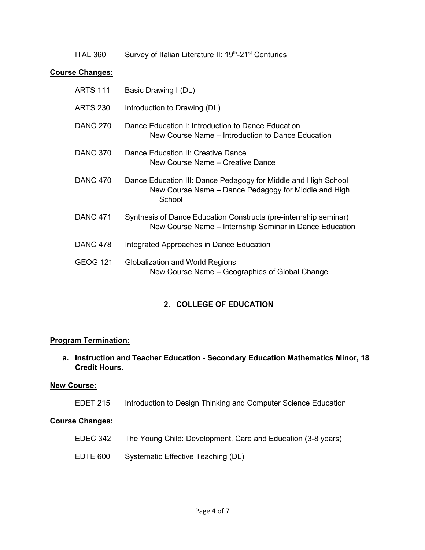ITAL 360 Survey of Italian Literature II: 19<sup>th</sup>-21<sup>st</sup> Centuries

## **Course Changes:**

| <b>ARTS 111</b> | Basic Drawing I (DL)                                                                                                             |
|-----------------|----------------------------------------------------------------------------------------------------------------------------------|
| <b>ARTS 230</b> | Introduction to Drawing (DL)                                                                                                     |
| <b>DANC 270</b> | Dance Education I: Introduction to Dance Education<br>New Course Name - Introduction to Dance Education                          |
| <b>DANC 370</b> | Dance Education II: Creative Dance<br>New Course Name – Creative Dance                                                           |
| <b>DANC 470</b> | Dance Education III: Dance Pedagogy for Middle and High School<br>New Course Name – Dance Pedagogy for Middle and High<br>School |
| <b>DANC 471</b> | Synthesis of Dance Education Constructs (pre-internship seminar)<br>New Course Name - Internship Seminar in Dance Education      |
| <b>DANC 478</b> | Integrated Approaches in Dance Education                                                                                         |
| GEOG 121        | Globalization and World Regions<br>New Course Name - Geographies of Global Change                                                |

# **2. COLLEGE OF EDUCATION**

## **Program Termination:**

**a. Instruction and Teacher Education - Secondary Education Mathematics Minor, 18 Credit Hours.**

## **New Course:**

EDET 215 Introduction to Design Thinking and Computer Science Education

# **Course Changes:**

- EDEC 342 The Young Child: Development, Care and Education (3-8 years)
- EDTE 600 Systematic Effective Teaching (DL)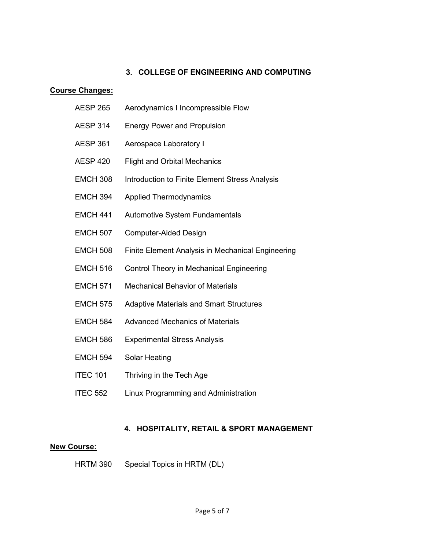# **3. COLLEGE OF ENGINEERING AND COMPUTING**

# **Course Changes:**

| <b>AESP 265</b> | Aerodynamics I Incompressible Flow                |
|-----------------|---------------------------------------------------|
| <b>AESP 314</b> | <b>Energy Power and Propulsion</b>                |
| <b>AESP 361</b> | Aerospace Laboratory I                            |
| <b>AESP 420</b> | <b>Flight and Orbital Mechanics</b>               |
| <b>EMCH 308</b> | Introduction to Finite Element Stress Analysis    |
| <b>EMCH 394</b> | <b>Applied Thermodynamics</b>                     |
| <b>EMCH 441</b> | <b>Automotive System Fundamentals</b>             |
| <b>EMCH 507</b> | <b>Computer-Aided Design</b>                      |
| <b>EMCH 508</b> | Finite Element Analysis in Mechanical Engineering |
| <b>EMCH 516</b> | Control Theory in Mechanical Engineering          |
| <b>EMCH 571</b> | <b>Mechanical Behavior of Materials</b>           |
| <b>EMCH 575</b> | <b>Adaptive Materials and Smart Structures</b>    |
| <b>EMCH 584</b> | <b>Advanced Mechanics of Materials</b>            |
| <b>EMCH 586</b> | <b>Experimental Stress Analysis</b>               |
| <b>EMCH 594</b> | <b>Solar Heating</b>                              |
| <b>ITEC 101</b> | Thriving in the Tech Age                          |
| <b>ITEC 552</b> | Linux Programming and Administration              |

# **4. HOSPITALITY, RETAIL & SPORT MANAGEMENT**

# **New Course:**

HRTM 390 Special Topics in HRTM (DL)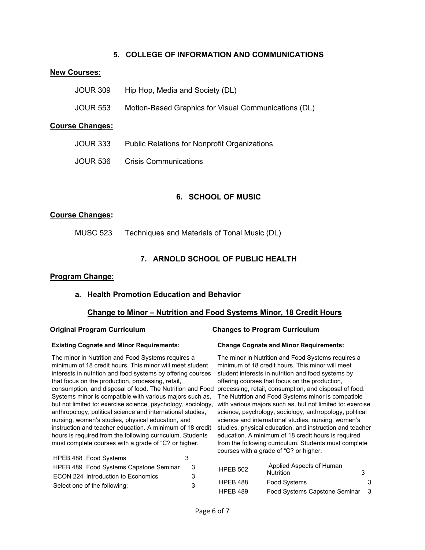## **5. COLLEGE OF INFORMATION AND COMMUNICATIONS**

#### **New Courses:**

| <b>JOUR 309</b>        | Hip Hop, Media and Society (DL)                      |
|------------------------|------------------------------------------------------|
| <b>JOUR 553</b>        | Motion-Based Graphics for Visual Communications (DL) |
| <b>Course Changes:</b> |                                                      |
| <b>JOUR 333</b>        | <b>Public Relations for Nonprofit Organizations</b>  |
| <b>JOUR 536</b>        | <b>Crisis Communications</b>                         |

## **6. SCHOOL OF MUSIC**

## **Course Changes:**

MUSC 523 Techniques and Materials of Tonal Music (DL)

## **7. ARNOLD SCHOOL OF PUBLIC HEALTH**

#### **Program Change:**

#### **a. Health Promotion Education and Behavior**

#### **Change to Minor – Nutrition and Food Systems Minor, 18 Credit Hours**

#### **Existing Cognate and Minor Requirements:**

The minor in Nutrition and Food Systems requires a minimum of 18 credit hours. This minor will meet student interests in nutrition and food systems by offering courses that focus on the production, processing, retail, consumption, and disposal of food. The Nutrition and Food Systems minor is compatible with various majors such as, but not limited to: exercise science, psychology, sociology, with various majors such as, but not limited to: exercise anthropology, political science and international studies, nursing, women's studies, physical education, and instruction and teacher education. A minimum of 18 credit hours is required from the following curriculum. Students must complete courses with a grade of "C? or higher.

| HPEB 488 Food Systems                  | 3 |
|----------------------------------------|---|
| HPEB 489 Food Systems Capstone Seminar | 3 |
| ECON 224 Introduction to Economics     | З |
| Select one of the following:           | 3 |

#### **Original Program Curriculum Changes to Program Curriculum**

#### **Change Cognate and Minor Requirements:**

The minor in Nutrition and Food Systems requires a minimum of 18 credit hours. This minor will meet student interests in nutrition and food systems by offering courses that focus on the production, processing, retail, consumption, and disposal of food. The Nutrition and Food Systems minor is compatible science, psychology, sociology, anthropology, political science and international studies, nursing, women's studies, physical education, and instruction and teacher education. A minimum of 18 credit hours is required from the following curriculum. Students must complete courses with a grade of "C? or higher.

| <b>HPEB 502</b> | Applied Aspects of Human<br><b>Nutrition</b> | 3 |   |
|-----------------|----------------------------------------------|---|---|
| HPEB 488        | Food Systems                                 |   | 3 |
| <b>HPEB 489</b> | Food Systems Capstone Seminar                |   | 3 |